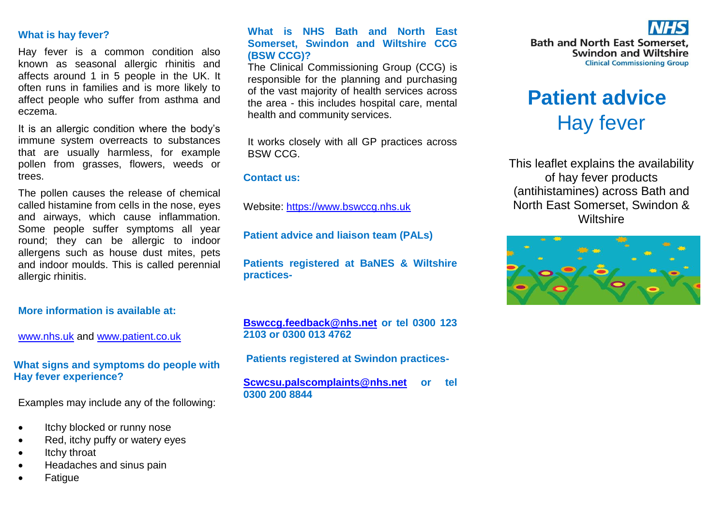## **What is hay fever?**

Hay fever is a common condition also known as seasonal allergic rhinitis and affects around 1 in 5 people in the UK. It often runs in families and is more likely to affect people who suffer from asthma and eczema.

It is an allergic condition where the body's immune system overreacts to substances that are usually harmless, for example pollen from grasses, flowers, weeds or trees.

The pollen causes the release of chemical called histamine from cells in the nose, eyes and airways, which cause inflammation. Some people suffer symptoms all year round; they can be allergic to indoor allergens such as house dust mites, pets and indoor moulds. This is called perennial allergic rhinitis.

## **More information is available at:**

[www.nhs.uk](http://www.nhs.uk/) and [www.patient.co.uk](http://www.patient.co.uk/)

## **What signs and symptoms do people with Hay fever experience?**

Examples may include any of the following:

- Itchy blocked or runny nose
- Red, itchy puffy or watery eyes
- Itchy throat
- Headaches and sinus pain
- Fatigue

## **What is NHS Bath and North East Somerset, Swindon and Wiltshire CCG (BSW CCG)?**

The Clinical Commissioning Group (CCG) is responsible for the planning and purchasing of the vast majority of health services across the area - this includes hospital care, mental health and community services.

It works closely with all GP practices across BSW CCG.

#### **Contact us:**

Website: [https://www.bswccg.nhs.uk](https://www.bswccg.nhs.uk/)

**Patient advice and liaison team (PALs)**

**Patients registered at BaNES & Wiltshire practices-**

**[Bswccg.feedback@nhs.net](mailto:Bswccg.feedback@nhs.net) or tel 0300 123 2103 or 0300 013 4762**

**Patients registered at Swindon practices-**

**[Scwcsu.palscomplaints@nhs.net](mailto:Scwcsu.palscomplaints@nhs.net) or tel 0300 200 8844** 



# **Patient advice** Hay fever

This leaflet explains the availability of hay fever products (antihistamines) across Bath and North East Somerset, Swindon & **Wiltshire**